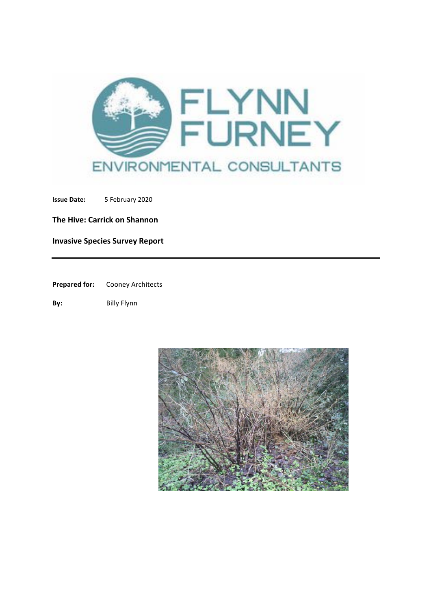

**Issue Date:** 5 February 2020

**The Hive: Carrick on Shannon** 

**Invasive Species Survey Report** 

**Prepared for:** Cooney Architects

**By:** Billy Flynn

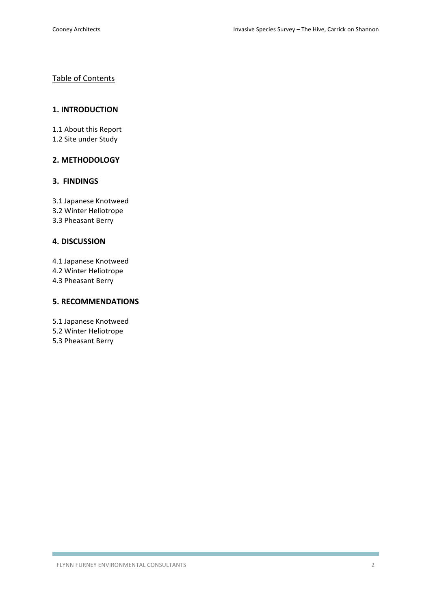# Table of Contents

## **1. INTRODUCTION**

1.1 About this Report

1.2 Site under Study

# **2. METHODOLOGY**

## **3. FINDINGS**

3.1 Japanese Knotweed 

- 3.2 Winter Heliotrope
- 3.3 Pheasant Berry

## **4. DISCUSSION**

4.1 Japanese Knotweed 

- 4.2 Winter Heliotrope
- 4.3 Pheasant Berry

# **5. RECOMMENDATIONS**

5.1 Japanese Knotweed 

5.2 Winter Heliotrope 

5.3 Pheasant Berry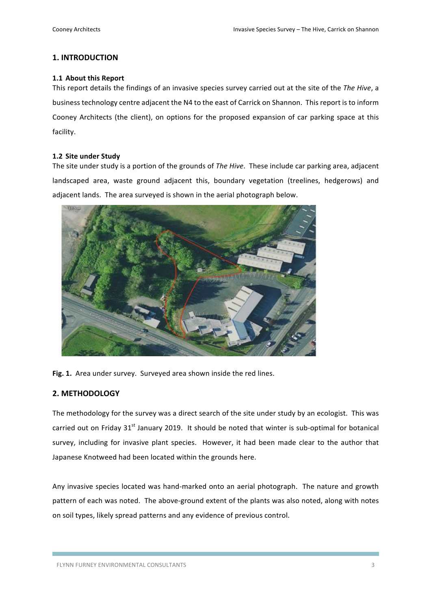## **1. INTRODUCTION**

### 1.1 About this Report

This report details the findings of an invasive species survey carried out at the site of the The Hive, a business technology centre adjacent the N4 to the east of Carrick on Shannon. This report is to inform Cooney Architects (the client), on options for the proposed expansion of car parking space at this facility.

### **1.2 Site under Study**

The site under study is a portion of the grounds of *The Hive*. These include car parking area, adjacent landscaped area, waste ground adjacent this, boundary vegetation (treelines, hedgerows) and adjacent lands. The area surveyed is shown in the aerial photograph below.



Fig. 1. Area under survey. Surveyed area shown inside the red lines.

## **2. METHODOLOGY**

The methodology for the survey was a direct search of the site under study by an ecologist. This was carried out on Friday  $31<sup>st</sup>$  January 2019. It should be noted that winter is sub-optimal for botanical survey, including for invasive plant species. However, it had been made clear to the author that Japanese Knotweed had been located within the grounds here.

Any invasive species located was hand-marked onto an aerial photograph. The nature and growth pattern of each was noted. The above-ground extent of the plants was also noted, along with notes on soil types, likely spread patterns and any evidence of previous control.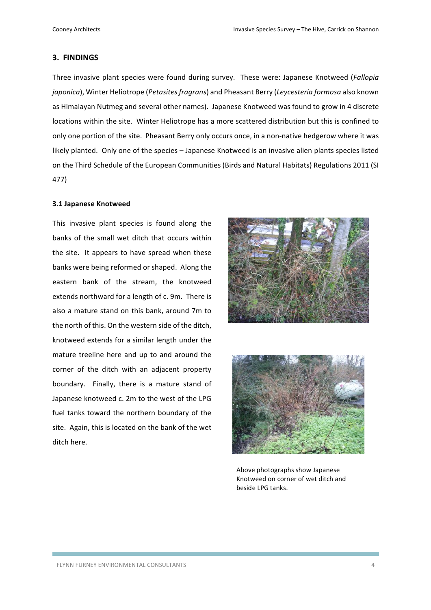### **3. FINDINGS**

Three invasive plant species were found during survey. These were: Japanese Knotweed (*Fallopia japonica*), Winter Heliotrope (*Petasites fragrans*) and Pheasant Berry (Leycesteria formosa also known as Himalayan Nutmeg and several other names). Japanese Knotweed was found to grow in 4 discrete locations within the site. Winter Heliotrope has a more scattered distribution but this is confined to only one portion of the site. Pheasant Berry only occurs once, in a non-native hedgerow where it was likely planted. Only one of the species - Japanese Knotweed is an invasive alien plants species listed on the Third Schedule of the European Communities (Birds and Natural Habitats) Regulations 2011 (SI 477)

#### **3.1 Japanese Knotweed**

This invasive plant species is found along the banks of the small wet ditch that occurs within the site. It appears to have spread when these banks were being reformed or shaped. Along the eastern bank of the stream, the knotweed extends northward for a length of c. 9m. There is also a mature stand on this bank, around 7m to the north of this. On the western side of the ditch, knotweed extends for a similar length under the mature treeline here and up to and around the corner of the ditch with an adjacent property boundary. Finally, there is a mature stand of Japanese knotweed c. 2m to the west of the LPG fuel tanks toward the northern boundary of the site. Again, this is located on the bank of the wet ditch here.





Above photographs show Japanese Knotweed on corner of wet ditch and beside LPG tanks.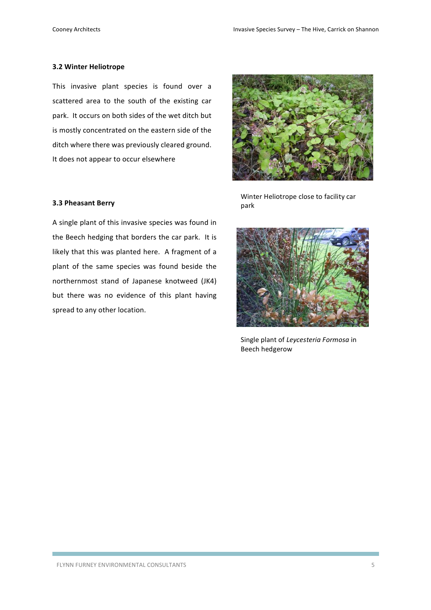### **3.2 Winter Heliotrope**

This invasive plant species is found over a scattered area to the south of the existing car park. It occurs on both sides of the wet ditch but is mostly concentrated on the eastern side of the ditch where there was previously cleared ground. It does not appear to occur elsewhere

#### **3.3 Pheasant Berry**

A single plant of this invasive species was found in the Beech hedging that borders the car park. It is likely that this was planted here. A fragment of a plant of the same species was found beside the northernmost stand of Japanese knotweed (JK4) but there was no evidence of this plant having spread to any other location.



Winter Heliotrope close to facility car park



Single plant of *Leycesteria Formosa* in Beech hedgerow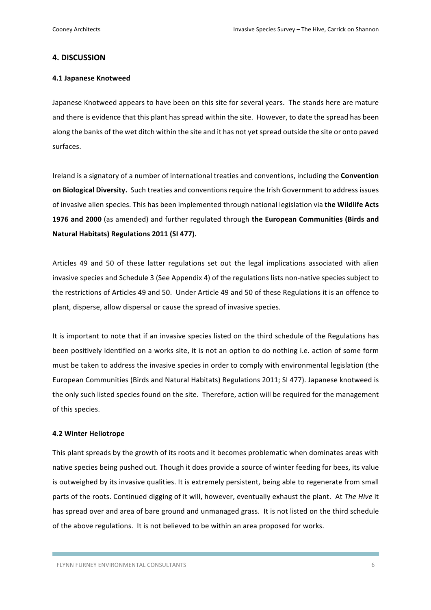### **4. DISCUSSION**

### **4.1 Japanese Knotweed**

Japanese Knotweed appears to have been on this site for several years. The stands here are mature and there is evidence that this plant has spread within the site. However, to date the spread has been along the banks of the wet ditch within the site and it has not yet spread outside the site or onto paved surfaces. 

Ireland is a signatory of a number of international treaties and conventions, including the **Convention on Biological Diversity.** Such treaties and conventions require the Irish Government to address issues of invasive alien species. This has been implemented through national legislation via the Wildlife Acts **1976 and 2000** (as amended) and further regulated through the European Communities (Birds and Natural Habitats) Regulations 2011 (SI 477).

Articles 49 and 50 of these latter regulations set out the legal implications associated with alien invasive species and Schedule 3 (See Appendix 4) of the regulations lists non-native species subject to the restrictions of Articles 49 and 50. Under Article 49 and 50 of these Regulations it is an offence to plant, disperse, allow dispersal or cause the spread of invasive species.

It is important to note that if an invasive species listed on the third schedule of the Regulations has been positively identified on a works site, it is not an option to do nothing i.e. action of some form must be taken to address the invasive species in order to comply with environmental legislation (the European Communities (Birds and Natural Habitats) Regulations 2011; SI 477). Japanese knotweed is the only such listed species found on the site. Therefore, action will be required for the management of this species.

### **4.2 Winter Heliotrope**

This plant spreads by the growth of its roots and it becomes problematic when dominates areas with native species being pushed out. Though it does provide a source of winter feeding for bees, its value is outweighed by its invasive qualities. It is extremely persistent, being able to regenerate from small parts of the roots. Continued digging of it will, however, eventually exhaust the plant. At *The Hive* it has spread over and area of bare ground and unmanaged grass. It is not listed on the third schedule of the above regulations. It is not believed to be within an area proposed for works.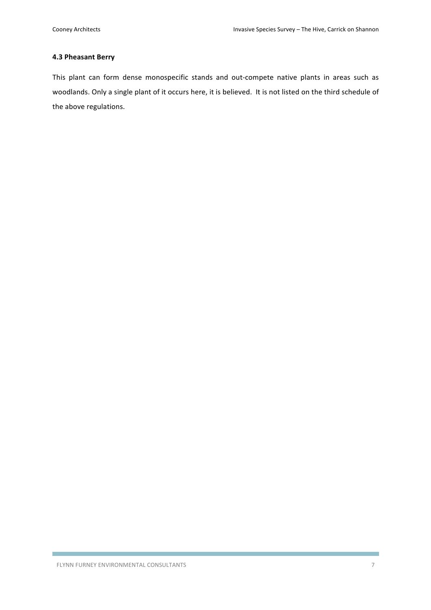### **4.3 Pheasant Berry**

This plant can form dense monospecific stands and out-compete native plants in areas such as woodlands. Only a single plant of it occurs here, it is believed. It is not listed on the third schedule of the above regulations.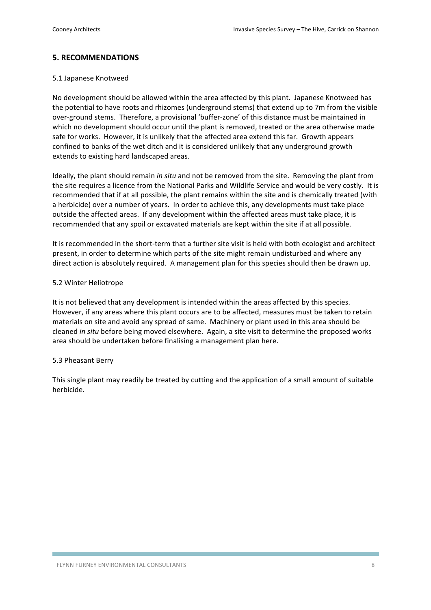## **5. RECOMMENDATIONS**

### 5.1 Japanese Knotweed

No development should be allowed within the area affected by this plant. Japanese Knotweed has the potential to have roots and rhizomes (underground stems) that extend up to 7m from the visible over-ground stems. Therefore, a provisional 'buffer-zone' of this distance must be maintained in which no development should occur until the plant is removed, treated or the area otherwise made safe for works. However, it is unlikely that the affected area extend this far. Growth appears confined to banks of the wet ditch and it is considered unlikely that any underground growth extends to existing hard landscaped areas.

Ideally, the plant should remain *in situ* and not be removed from the site. Removing the plant from the site requires a licence from the National Parks and Wildlife Service and would be very costly. It is recommended that if at all possible, the plant remains within the site and is chemically treated (with a herbicide) over a number of years. In order to achieve this, any developments must take place outside the affected areas. If any development within the affected areas must take place, it is recommended that any spoil or excavated materials are kept within the site if at all possible.

It is recommended in the short-term that a further site visit is held with both ecologist and architect present, in order to determine which parts of the site might remain undisturbed and where any direct action is absolutely required. A management plan for this species should then be drawn up.

### 5.2 Winter Heliotrope

It is not believed that any development is intended within the areas affected by this species. However, if any areas where this plant occurs are to be affected, measures must be taken to retain materials on site and avoid any spread of same. Machinery or plant used in this area should be cleaned *in situ* before being moved elsewhere. Again, a site visit to determine the proposed works area should be undertaken before finalising a management plan here.

### 5.3 Pheasant Berry

This single plant may readily be treated by cutting and the application of a small amount of suitable herbicide.